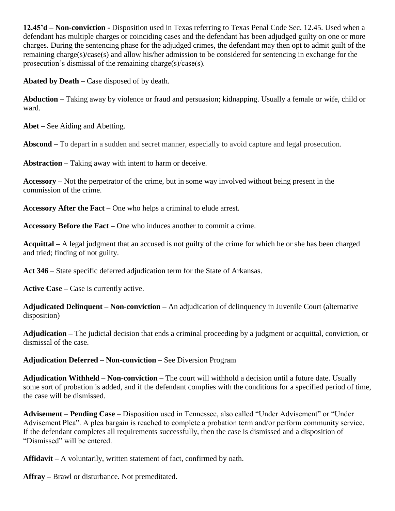**12.45'd – Non-conviction -** Disposition used in Texas referring to Texas Penal Code Sec. 12.45. Used when a defendant has multiple charges or coinciding cases and the defendant has been adjudged guilty on one or more charges. During the sentencing phase for the adjudged crimes, the defendant may then opt to admit guilt of the remaining charge(s)/case(s) and allow his/her admission to be considered for sentencing in exchange for the prosecution's dismissal of the remaining charge(s)/case(s).

**Abated by Death –** Case disposed of by death.

**Abduction –** Taking away by violence or fraud and persuasion; kidnapping. Usually a female or wife, child or ward.

**Abet –** See Aiding and Abetting.

**Abscond –** To depart in a sudden and secret manner, especially to avoid capture and legal prosecution.

**Abstraction –** Taking away with intent to harm or deceive.

**Accessory –** Not the perpetrator of the crime, but in some way involved without being present in the commission of the crime.

**Accessory After the Fact –** One who helps a criminal to elude arrest.

**Accessory Before the Fact –** One who induces another to commit a crime.

**Acquittal –** A legal judgment that an accused is not guilty of the crime for which he or she has been charged and tried; finding of not guilty.

**Act 346** – State specific deferred adjudication term for the State of Arkansas.

**Active Case –** Case is currently active.

**Adjudicated Delinquent – Non-conviction –** An adjudication of delinquency in Juvenile Court (alternative disposition)

**Adjudication –** The judicial decision that ends a criminal proceeding by a judgment or acquittal, conviction, or dismissal of the case.

**Adjudication Deferred – Non-conviction –** See Diversion Program

**Adjudication Withheld – Non-conviction –** The court will withhold a decision until a future date. Usually some sort of probation is added, and if the defendant complies with the conditions for a specified period of time, the case will be dismissed.

**Advisement** – **Pending Case** – Disposition used in Tennessee, also called "Under Advisement" or "Under Advisement Plea". A plea bargain is reached to complete a probation term and/or perform community service. If the defendant completes all requirements successfully, then the case is dismissed and a disposition of "Dismissed" will be entered.

**Affidavit –** A voluntarily, written statement of fact, confirmed by oath.

**Affray –** Brawl or disturbance. Not premeditated.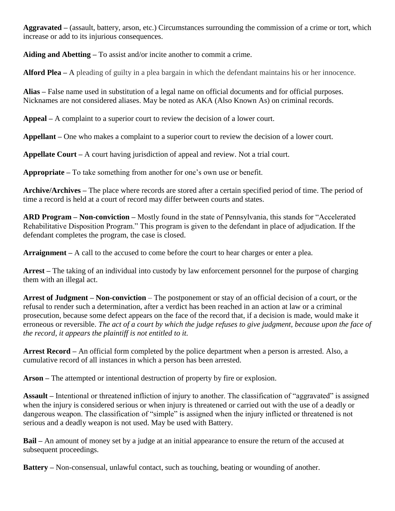**Aggravated –** (assault, battery, arson, etc.) Circumstances surrounding the commission of a crime or tort, which increase or add to its injurious consequences.

**Aiding and Abetting –** To assist and/or incite another to commit a crime.

**Alford Plea –** A pleading of guilty in a plea bargain in [which](http://dictionary.reference.com/browse/which) the defendant maintains his or her innocence.

**Alias –** False name used in substitution of a legal name on official documents and for official purposes. Nicknames are not considered aliases. May be noted as AKA (Also Known As) on criminal records.

**Appeal –** A complaint to a superior court to review the decision of a lower court.

**Appellant –** One who makes a complaint to a superior court to review the decision of a lower court.

**Appellate Court –** A court having jurisdiction of appeal and review. Not a trial court.

**Appropriate –** To take something from another for one's own use or benefit.

**Archive/Archives –** The place where records are stored after a certain specified period of time. The period of time a record is held at a court of record may differ between courts and states.

**ARD Program – Non-conviction –** Mostly found in the state of Pennsylvania, this stands for "Accelerated Rehabilitative Disposition Program." This program is given to the defendant in place of adjudication. If the defendant completes the program, the case is closed.

**Arraignment –** A call to the accused to come before the court to hear charges or enter a plea.

**Arrest –** The taking of an individual into custody by law enforcement personnel for the purpose of charging them with an illegal act.

**Arrest of Judgment – Non-conviction** – The postponement or stay of an official decision of a court, or the refusal to render such a determination, after a verdict has been reached in an action at law or a criminal prosecution, because some defect appears on the face of the record that, if a decision is made, would make it erroneous or reversible. *The act of a court by which the judge refuses to give judgment, because upon the face of the record, it appears the plaintiff is not entitled to it.*

**Arrest Record –** An official form completed by the police department when a person is arrested. Also, a cumulative record of all instances in which a person has been arrested.

**Arson –** The attempted or intentional destruction of property by fire or explosion.

**Assault –** Intentional or threatened infliction of injury to another. The classification of "aggravated" is assigned when the injury is considered serious or when injury is threatened or carried out with the use of a deadly or dangerous weapon. The classification of "simple" is assigned when the injury inflicted or threatened is not serious and a deadly weapon is not used. May be used with Battery.

**Bail –** An amount of money set by a judge at an initial appearance to ensure the return of the accused at subsequent proceedings.

**Battery –** Non-consensual, unlawful contact, such as touching, beating or wounding of another.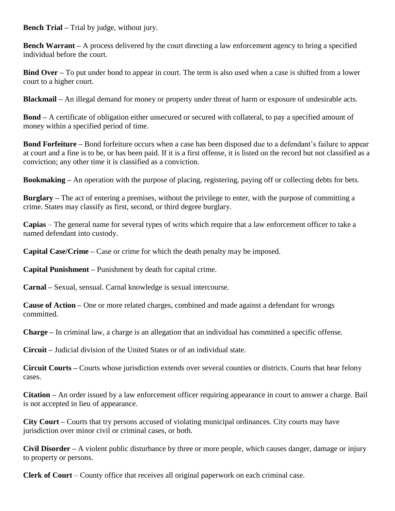**Bench Trial –** Trial by judge, without jury.

**Bench Warrant** – A process delivered by the court directing a law enforcement agency to bring a specified individual before the court.

**Bind Over** – To put under bond to appear in court. The term is also used when a case is shifted from a lower court to a higher court.

**Blackmail –** An illegal demand for money or property under threat of harm or exposure of undesirable acts.

**Bond –** A certificate of obligation either unsecured or secured with collateral, to pay a specified amount of money within a specified period of time.

**Bond Forfeiture –** Bond forfeiture occurs when a case has been disposed due to a defendant's failure to appear at court and a fine is to be, or has been paid. If it is a first offense, it is listed on the record but not classified as a conviction; any other time it is classified as a conviction.

**Bookmaking –** An operation with the purpose of placing, registering, paying off or collecting debts for bets.

**Burglary –** The act of entering a premises, without the privilege to enter, with the purpose of committing a crime. States may classify as first, second, or third degree burglary.

**Capias** – The general name for several types of writs which require that a law enforcement officer to take a named defendant into custody.

**Capital Case/Crime –** Case or crime for which the death penalty may be imposed.

**Capital Punishment –** Punishment by death for capital crime.

**Carnal –** Sexual, sensual. Carnal knowledge is sexual intercourse.

**Cause of Action –** One or more related charges, combined and made against a defendant for wrongs committed.

**Charge –** In criminal law, a charge is an allegation that an individual has committed a specific offense.

**Circuit –** Judicial division of the United States or of an individual state.

**Circuit Courts –** Courts whose jurisdiction extends over several counties or districts. Courts that hear felony cases.

**Citation –** An order issued by a law enforcement officer requiring appearance in court to answer a charge. Bail is not accepted in lieu of appearance.

**City Court –** Courts that try persons accused of violating municipal ordinances. City courts may have jurisdiction over minor civil or criminal cases, or both.

**Civil Disorder –** A violent public disturbance by three or more people, which causes danger, damage or injury to property or persons.

**Clerk of Court** – County office that receives all original paperwork on each criminal case.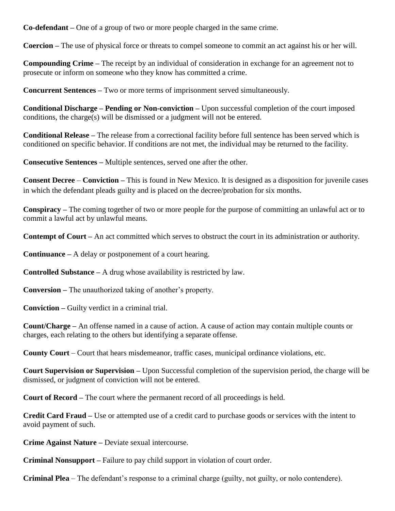**Co-defendant –** One of a group of two or more people charged in the same crime.

**Coercion –** The use of physical force or threats to compel someone to commit an act against his or her will.

**Compounding Crime –** The receipt by an individual of consideration in exchange for an agreement not to prosecute or inform on someone who they know has committed a crime.

**Concurrent Sentences –** Two or more terms of imprisonment served simultaneously.

**Conditional Discharge – Pending or Non-conviction –** Upon successful completion of the court imposed conditions, the charge(s) will be dismissed or a judgment will not be entered.

**Conditional Release –** The release from a correctional facility before full sentence has been served which is conditioned on specific behavior. If conditions are not met, the individual may be returned to the facility.

**Consecutive Sentences –** Multiple sentences, served one after the other.

**Consent Decree** – **Conviction –** This is found in New Mexico. It is designed as a disposition for juvenile cases in which the defendant pleads guilty and is placed on the decree/probation for six months.

**Conspiracy –** The coming together of two or more people for the purpose of committing an unlawful act or to commit a lawful act by unlawful means.

**Contempt of Court –** An act committed which serves to obstruct the court in its administration or authority.

**Continuance –** A delay or postponement of a court hearing.

**Controlled Substance –** A drug whose availability is restricted by law.

**Conversion –** The unauthorized taking of another's property.

**Conviction –** Guilty verdict in a criminal trial.

**Count/Charge –** An offense named in a cause of action. A cause of action may contain multiple counts or charges, each relating to the others but identifying a separate offense.

**County Court** – Court that hears misdemeanor, traffic cases, municipal ordinance violations, etc.

**Court Supervision or Supervision –** Upon Successful completion of the supervision period, the charge will be dismissed, or judgment of conviction will not be entered.

**Court of Record –** The court where the permanent record of all proceedings is held.

**Credit Card Fraud –** Use or attempted use of a credit card to purchase goods or services with the intent to avoid payment of such.

**Crime Against Nature –** Deviate sexual intercourse.

**Criminal Nonsupport –** Failure to pay child support in violation of court order.

**Criminal Plea** – The defendant's response to a criminal charge (guilty, not guilty, or nolo contendere).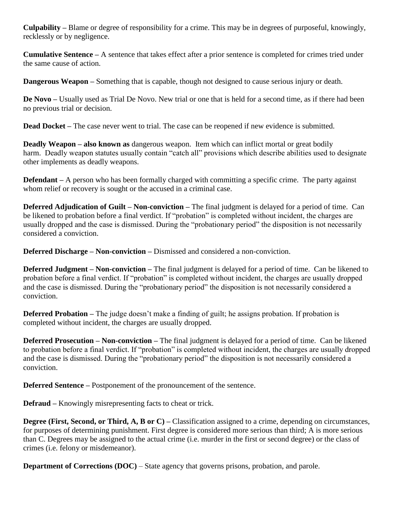**Culpability –** Blame or degree of responsibility for a crime. This may be in degrees of purposeful, knowingly, recklessly or by negligence.

**Cumulative Sentence –** A sentence that takes effect after a prior sentence is completed for crimes tried under the same cause of action.

**Dangerous Weapon –** Something that is capable, though not designed to cause serious injury or death.

**De Novo –** Usually used as Trial De Novo. New trial or one that is held for a second time, as if there had been no previous trial or decision.

**Dead Docket –** The case never went to trial. The case can be reopened if new evidence is submitted.

**Deadly Weapon – also known as** dangerous weapon. Item which can inflict mortal or great bodily harm. Deadly weapon statutes usually contain "catch all" provisions which describe abilities used to designate other implements as deadly weapons.

**Defendant** – A person who has been formally charged with committing a specific crime. The party against whom relief or recovery is sought or the accused in a criminal case.

**Deferred Adjudication of Guilt – Non-conviction –** The final judgment is delayed for a period of time. Can be likened to probation before a final verdict. If "probation" is completed without incident, the charges are usually dropped and the case is dismissed. During the "probationary period" the disposition is not necessarily considered a conviction.

**Deferred Discharge – Non-conviction –** Dismissed and considered a non-conviction.

**Deferred Judgment – Non-conviction –** The final judgment is delayed for a period of time. Can be likened to probation before a final verdict. If "probation" is completed without incident, the charges are usually dropped and the case is dismissed. During the "probationary period" the disposition is not necessarily considered a conviction.

**Deferred Probation** – The judge doesn't make a finding of guilt; he assigns probation. If probation is completed without incident, the charges are usually dropped.

**Deferred Prosecution – Non-conviction –** The final judgment is delayed for a period of time. Can be likened to probation before a final verdict. If "probation" is completed without incident, the charges are usually dropped and the case is dismissed. During the "probationary period" the disposition is not necessarily considered a conviction.

**Deferred Sentence –** Postponement of the pronouncement of the sentence.

**Defraud –** Knowingly misrepresenting facts to cheat or trick.

**Degree (First, Second, or Third, A, B or C) – Classification assigned to a crime, depending on circumstances,** for purposes of determining punishment. First degree is considered more serious than third; A is more serious than C. Degrees may be assigned to the actual crime (i.e. murder in the first or second degree) or the class of crimes (i.e. felony or misdemeanor).

**Department of Corrections (DOC)** – State agency that governs prisons, probation, and parole.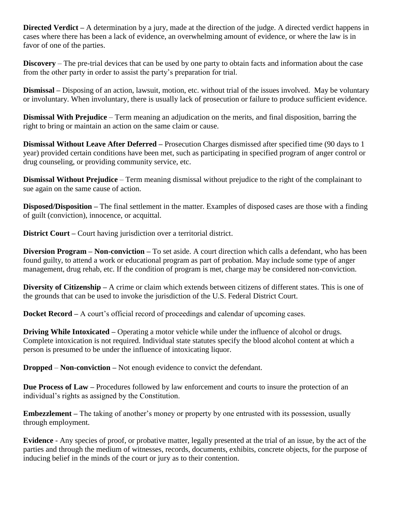**Directed Verdict** – A determination by a jury, made at the direction of the judge. A directed verdict happens in cases where there has been a lack of evidence, an overwhelming amount of evidence, or where the law is in favor of one of the parties.

**Discovery** – The pre-trial devices that can be used by one party to obtain facts and information about the case from the other party in order to assist the party's preparation for trial.

**Dismissal –** Disposing of an action, lawsuit, motion, etc. without trial of the issues involved. May be voluntary or involuntary. When involuntary, there is usually lack of prosecution or failure to produce sufficient evidence.

**Dismissal With Prejudice** – Term meaning an adjudication on the merits, and final disposition, barring the right to bring or maintain an action on the same claim or cause.

**Dismissal Without Leave After Deferred –** Prosecution Charges dismissed after specified time (90 days to 1 year) provided certain conditions have been met, such as participating in specified program of anger control or drug counseling, or providing community service, etc.

**Dismissal Without Prejudice** – Term meaning dismissal without prejudice to the right of the complainant to sue again on the same cause of action.

**Disposed/Disposition –** The final settlement in the matter. Examples of disposed cases are those with a finding of guilt (conviction), innocence, or acquittal.

**District Court –** Court having jurisdiction over a territorial district.

**Diversion Program – Non-conviction –** To set aside. A court direction which calls a defendant, who has been found guilty, to attend a work or educational program as part of probation. May include some type of anger management, drug rehab, etc. If the condition of program is met, charge may be considered non-conviction.

**Diversity of Citizenship –** A crime or claim which extends between citizens of different states. This is one of the grounds that can be used to invoke the jurisdiction of the U.S. Federal District Court.

**Docket Record** – A court's official record of proceedings and calendar of upcoming cases.

**Driving While Intoxicated** – Operating a motor vehicle while under the influence of alcohol or drugs. Complete intoxication is not required. Individual state statutes specify the blood alcohol content at which a person is presumed to be under the influence of intoxicating liquor.

**Dropped** – **Non-conviction –** Not enough evidence to convict the defendant.

**Due Process of Law –** Procedures followed by law enforcement and courts to insure the protection of an individual's rights as assigned by the Constitution.

**Embezzlement –** The taking of another's money or property by one entrusted with its possession, usually through employment.

**Evidence** - Any species of proof, or probative matter, legally presented at the trial of an issue, by the act of the parties and through the medium of witnesses, records, documents, exhibits, concrete objects, for the purpose of inducing belief in the minds of the court or jury as to their contention.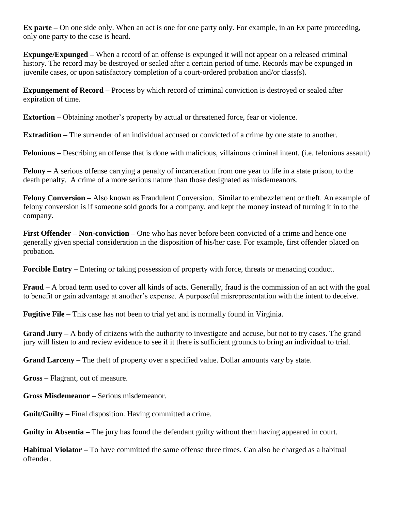**Ex parte –** On one side only. When an act is one for one party only. For example, in an Ex parte proceeding, only one party to the case is heard.

**Expunge/Expunged –** When a record of an offense is expunged it will not appear on a released criminal history. The record may be destroyed or sealed after a certain period of time. Records may be expunged in juvenile cases, or upon satisfactory completion of a court-ordered probation and/or class(s).

**Expungement of Record** – Process by which record of criminal conviction is destroyed or sealed after expiration of time.

**Extortion –** Obtaining another's property by actual or threatened force, fear or violence.

**Extradition –** The surrender of an individual accused or convicted of a crime by one state to another.

**Felonious –** Describing an offense that is done with malicious, villainous criminal intent. (i.e. felonious assault)

**Felony –** A serious offense carrying a penalty of incarceration from one year to life in a state prison, to the death penalty. A crime of a more serious nature than those designated as misdemeanors.

**Felony Conversion –** Also known as Fraudulent Conversion. Similar to embezzlement or theft. An example of felony conversion is if someone sold goods for a company, and kept the money instead of turning it in to the company.

**First Offender – Non-conviction –** One who has never before been convicted of a crime and hence one generally given special consideration in the disposition of his/her case. For example, first offender placed on probation.

**Forcible Entry –** Entering or taking possession of property with force, threats or menacing conduct.

**Fraud –** A broad term used to cover all kinds of acts. Generally, fraud is the commission of an act with the goal to benefit or gain advantage at another's expense. A purposeful misrepresentation with the intent to deceive.

**Fugitive File** – This case has not been to trial yet and is normally found in Virginia.

**Grand Jury –** A body of citizens with the authority to investigate and accuse, but not to try cases. The grand jury will listen to and review evidence to see if it there is sufficient grounds to bring an individual to trial.

**Grand Larceny –** The theft of property over a specified value. Dollar amounts vary by state.

**Gross –** Flagrant, out of measure.

**Gross Misdemeanor –** Serious misdemeanor.

**Guilt/Guilty –** Final disposition. Having committed a crime.

**Guilty in Absentia –** The jury has found the defendant guilty without them having appeared in court.

**Habitual Violator –** To have committed the same offense three times. Can also be charged as a habitual offender.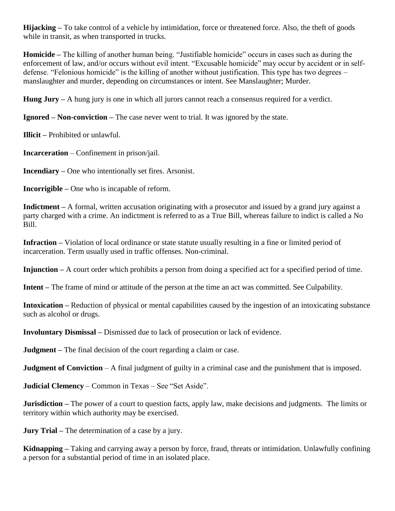**Hijacking –** To take control of a vehicle by intimidation, force or threatened force. Also, the theft of goods while in transit, as when transported in trucks.

**Homicide –** The killing of another human being. "Justifiable homicide" occurs in cases such as during the enforcement of law, and/or occurs without evil intent. "Excusable homicide" may occur by accident or in selfdefense. "Felonious homicide" is the killing of another without justification. This type has two degrees – manslaughter and murder, depending on circumstances or intent. See Manslaughter; Murder.

**Hung Jury –** A hung jury is one in which all jurors cannot reach a consensus required for a verdict.

**Ignored – Non-conviction –** The case never went to trial. It was ignored by the state.

**Illicit –** Prohibited or unlawful.

**Incarceration** – Confinement in prison/jail.

**Incendiary –** One who intentionally set fires. Arsonist.

**Incorrigible –** One who is incapable of reform.

**Indictment –** A formal, written accusation originating with a prosecutor and issued by a grand jury against a party charged with a crime. An indictment is referred to as a True Bill, whereas failure to indict is called a No Bill.

**Infraction –** Violation of local ordinance or state statute usually resulting in a fine or limited period of incarceration. Term usually used in traffic offenses. Non-criminal.

**Injunction –** A court order which prohibits a person from doing a specified act for a specified period of time.

**Intent –** The frame of mind or attitude of the person at the time an act was committed. See Culpability.

**Intoxication –** Reduction of physical or mental capabilities caused by the ingestion of an intoxicating substance such as alcohol or drugs.

**Involuntary Dismissal –** Dismissed due to lack of prosecution or lack of evidence.

**Judgment –** The final decision of the court regarding a claim or case.

**Judgment of Conviction** – A final judgment of guilty in a criminal case and the punishment that is imposed.

**Judicial Clemency** – Common in Texas – See "Set Aside".

**Jurisdiction** – The power of a court to question facts, apply law, make decisions and judgments. The limits or territory within which authority may be exercised.

**Jury Trial –** The determination of a case by a jury.

**Kidnapping –** Taking and carrying away a person by force, fraud, threats or intimidation. Unlawfully confining a person for a substantial period of time in an isolated place.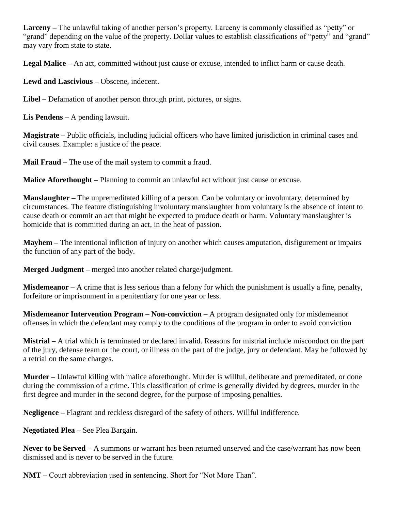**Larceny –** The unlawful taking of another person's property. Larceny is commonly classified as "petty" or "grand" depending on the value of the property. Dollar values to establish classifications of "petty" and "grand" may vary from state to state.

**Legal Malice –** An act, committed without just cause or excuse, intended to inflict harm or cause death.

**Lewd and Lascivious –** Obscene, indecent.

**Libel –** Defamation of another person through print, pictures, or signs.

**Lis Pendens –** A pending lawsuit.

**Magistrate –** Public officials, including judicial officers who have limited jurisdiction in criminal cases and civil causes. Example: a justice of the peace.

**Mail Fraud –** The use of the mail system to commit a fraud.

**Malice Aforethought –** Planning to commit an unlawful act without just cause or excuse.

**Manslaughter –** The unpremeditated killing of a person. Can be voluntary or involuntary, determined by circumstances. The feature distinguishing involuntary manslaughter from voluntary is the absence of intent to cause death or commit an act that might be expected to produce death or harm. Voluntary manslaughter is homicide that is committed during an act, in the heat of passion.

**Mayhem –** The intentional infliction of injury on another which causes amputation, disfigurement or impairs the function of any part of the body.

**Merged Judgment –** merged into another related charge/judgment.

**Misdemeanor –** A crime that is less serious than a felony for which the punishment is usually a fine, penalty, forfeiture or imprisonment in a penitentiary for one year or less.

**Misdemeanor Intervention Program – Non-conviction –** A program designated only for misdemeanor offenses in which the defendant may comply to the conditions of the program in order to avoid conviction

**Mistrial –** A trial which is terminated or declared invalid. Reasons for mistrial include misconduct on the part of the jury, defense team or the court, or illness on the part of the judge, jury or defendant. May be followed by a retrial on the same charges.

**Murder –** Unlawful killing with malice aforethought. Murder is willful, deliberate and premeditated, or done during the commission of a crime. This classification of crime is generally divided by degrees, murder in the first degree and murder in the second degree, for the purpose of imposing penalties.

**Negligence –** Flagrant and reckless disregard of the safety of others. Willful indifference.

**Negotiated Plea** – See Plea Bargain.

**Never to be Served** – A summons or warrant has been returned unserved and the case/warrant has now been dismissed and is never to be served in the future.

**NMT** – Court abbreviation used in sentencing. Short for "Not More Than".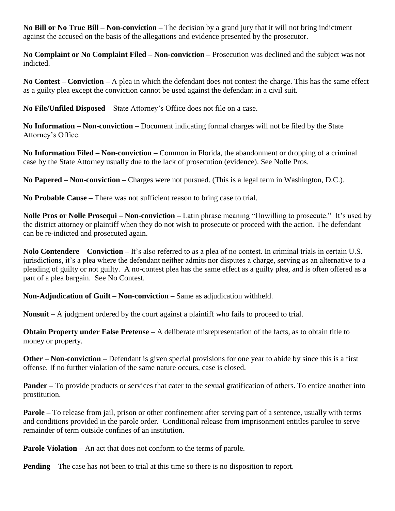**No Bill or No True Bill – Non-conviction –** The decision by a grand jury that it will not bring indictment against the accused on the basis of the allegations and evidence presented by the prosecutor.

**No Complaint or No Complaint Filed – Non-conviction –** Prosecution was declined and the subject was not indicted.

**No Contest – Conviction –** A plea in which the defendant does not contest the charge. This has the same effect as a guilty plea except the conviction cannot be used against the defendant in a civil suit.

**No File/Unfiled Disposed** – State Attorney's Office does not file on a case.

**No Information – Non-conviction –** Document indicating formal charges will not be filed by the State Attorney's Office.

**No Information Filed – Non-conviction –** Common in Florida, the abandonment or dropping of a criminal case by the State Attorney usually due to the lack of prosecution (evidence). See Nolle Pros.

**No Papered – Non-conviction –** Charges were not pursued. (This is a legal term in Washington, D.C.).

**No Probable Cause –** There was not sufficient reason to bring case to trial.

**Nolle Pros or Nolle Prosequi – Non-conviction –** Latin phrase meaning "Unwilling to prosecute." It's used by the district attorney or plaintiff when they do not wish to prosecute or proceed with the action. The defendant can be re-indicted and prosecuted again.

**Nolo Contendere** – **Conviction –** It's also referred to as a plea of no contest. In criminal trials in certain U.S. jurisdictions, it's a plea where the defendant neither admits nor disputes a charge, serving as an alternative to a pleading of guilty or not guilty. A no-contest plea has the same effect as a guilty plea, and is often offered as a part of a plea bargain. See No Contest.

**Non-Adjudication of Guilt – Non-conviction –** Same as adjudication withheld.

**Nonsuit –** A judgment ordered by the court against a plaintiff who fails to proceed to trial.

**Obtain Property under False Pretense –** A deliberate misrepresentation of the facts, as to obtain title to money or property.

**Other – Non-conviction –** Defendant is given special provisions for one year to abide by since this is a first offense. If no further violation of the same nature occurs, case is closed.

**Pander** – To provide products or services that cater to the sexual gratification of others. To entice another into prostitution.

**Parole –** To release from jail, prison or other confinement after serving part of a sentence, usually with terms and conditions provided in the parole order. Conditional release from imprisonment entitles parolee to serve remainder of term outside confines of an institution.

**Parole Violation** – An act that does not conform to the terms of parole.

**Pending** – The case has not been to trial at this time so there is no disposition to report.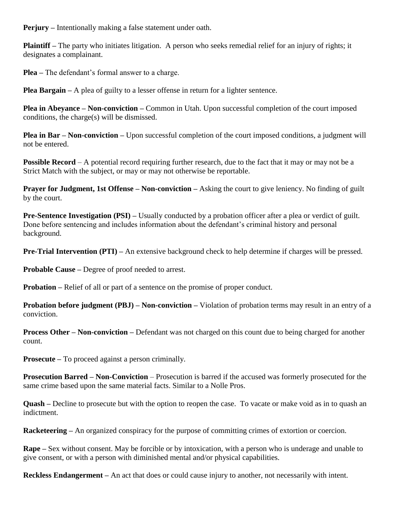**Perjury –** Intentionally making a false statement under oath.

**Plaintiff –** The party who initiates litigation. A person who seeks remedial relief for an injury of rights; it designates a complainant.

**Plea –** The defendant's formal answer to a charge.

**Plea Bargain** – A plea of guilty to a lesser offense in return for a lighter sentence.

**Plea in Abeyance – Non-conviction –** Common in Utah. Upon successful completion of the court imposed conditions, the charge(s) will be dismissed.

**Plea in Bar – Non-conviction – Upon successful completion of the court imposed conditions, a judgment will** not be entered.

**Possible Record** – A potential record requiring further research, due to the fact that it may or may not be a Strict Match with the subject, or may or may not otherwise be reportable.

**Prayer for Judgment, 1st Offense – Non-conviction –** Asking the court to give leniency. No finding of guilt by the court.

**Pre-Sentence Investigation (PSI) –** Usually conducted by a probation officer after a plea or verdict of guilt. Done before sentencing and includes information about the defendant's criminal history and personal background.

**Pre-Trial Intervention (PTI)** – An extensive background check to help determine if charges will be pressed.

**Probable Cause –** Degree of proof needed to arrest.

**Probation –** Relief of all or part of a sentence on the promise of proper conduct.

**Probation before judgment (PBJ) – Non-conviction –** Violation of probation terms may result in an entry of a conviction.

**Process Other – Non-conviction –** Defendant was not charged on this count due to being charged for another count.

**Prosecute –** To proceed against a person criminally.

**Prosecution Barred – Non-Conviction** – Prosecution is barred if the accused was formerly prosecuted for the same crime based upon the same material facts. Similar to a Nolle Pros.

**Quash –** Decline to prosecute but with the option to reopen the case. To vacate or make void as in to quash an indictment.

**Racketeering –** An organized conspiracy for the purpose of committing crimes of extortion or coercion.

**Rape –** Sex without consent. May be forcible or by intoxication, with a person who is underage and unable to give consent, or with a person with diminished mental and/or physical capabilities.

**Reckless Endangerment –** An act that does or could cause injury to another, not necessarily with intent.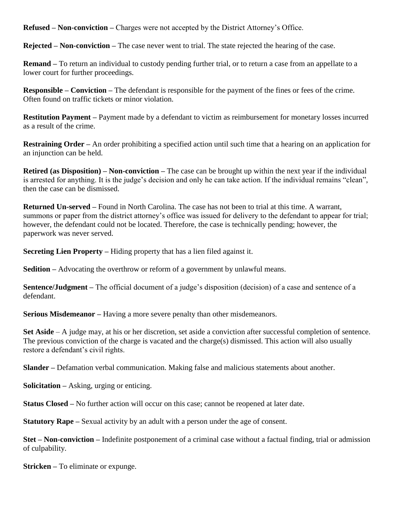**Refused – Non-conviction –** Charges were not accepted by the District Attorney's Office.

**Rejected – Non-conviction –** The case never went to trial. The state rejected the hearing of the case.

**Remand –** To return an individual to custody pending further trial, or to return a case from an appellate to a lower court for further proceedings.

**Responsible – Conviction –** The defendant is responsible for the payment of the fines or fees of the crime. Often found on traffic tickets or minor violation.

**Restitution Payment –** Payment made by a defendant to victim as reimbursement for monetary losses incurred as a result of the crime.

**Restraining Order –** An order prohibiting a specified action until such time that a hearing on an application for an injunction can be held.

**Retired (as Disposition) – Non-conviction –** The case can be brought up within the next year if the individual is arrested for anything. It is the judge's decision and only he can take action. If the individual remains "clean", then the case can be dismissed.

**Returned Un-served –** Found in North Carolina. The case has not been to trial at this time. A warrant, summons or paper from the district attorney's office was issued for delivery to the defendant to appear for trial; however, the defendant could not be located. Therefore, the case is technically pending; however, the paperwork was never served.

**Secreting Lien Property –** Hiding property that has a lien filed against it.

**Sedition** – Advocating the overthrow or reform of a government by unlawful means.

**Sentence/Judgment –** The official document of a judge's disposition (decision) of a case and sentence of a defendant.

**Serious Misdemeanor –** Having a more severe penalty than other misdemeanors.

**Set Aside** – A judge may, at his or her discretion, set aside a conviction after successful completion of sentence. The previous conviction of the charge is vacated and the charge(s) dismissed. This action will also usually restore a defendant's civil rights.

**Slander –** Defamation verbal communication. Making false and malicious statements about another.

**Solicitation –** Asking, urging or enticing.

**Status Closed –** No further action will occur on this case; cannot be reopened at later date.

**Statutory Rape** – Sexual activity by an adult with a person under the age of consent.

**Stet – Non-conviction –** Indefinite postponement of a criminal case without a factual finding, trial or admission of culpability.

**Stricken –** To eliminate or expunge.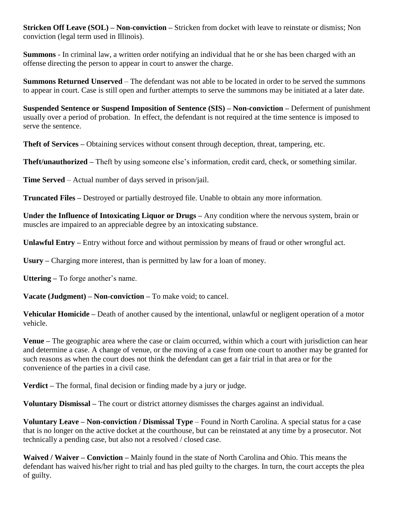**Stricken Off Leave (SOL) – Non-conviction –** Stricken from docket with leave to reinstate or dismiss; Non conviction (legal term used in Illinois).

**Summons** - In criminal law, a written order notifying an individual that he or she has been charged with an offense directing the person to appear in court to answer the charge.

**Summons Returned Unserved** – The defendant was not able to be located in order to be served the summons to appear in court. Case is still open and further attempts to serve the summons may be initiated at a later date.

**Suspended Sentence or Suspend Imposition of Sentence (SIS) – Non-conviction –** Deferment of punishment usually over a period of probation. In effect, the defendant is not required at the time sentence is imposed to serve the sentence.

**Theft of Services –** Obtaining services without consent through deception, threat, tampering, etc.

**Theft/unauthorized –** Theft by using someone else's information, credit card, check, or something similar.

**Time Served** – Actual number of days served in prison/jail.

**Truncated Files –** Destroyed or partially destroyed file. Unable to obtain any more information.

**Under the Influence of Intoxicating Liquor or Drugs –** Any condition where the nervous system, brain or muscles are impaired to an appreciable degree by an intoxicating substance.

**Unlawful Entry –** Entry without force and without permission by means of fraud or other wrongful act.

**Usury –** Charging more interest, than is permitted by law for a loan of money.

**Uttering –** To forge another's name.

**Vacate (Judgment) – Non-conviction –** To make void; to cancel.

**Vehicular Homicide –** Death of another caused by the intentional, unlawful or negligent operation of a motor vehicle.

**Venue –** The geographic area where the case or claim occurred, within which a court with jurisdiction can hear and determine a case. A change of venue, or the moving of a case from one court to another may be granted for such reasons as when the court does not think the defendant can get a fair trial in that area or for the convenience of the parties in a civil case.

**Verdict –** The formal, final decision or finding made by a jury or judge.

**Voluntary Dismissal –** The court or district attorney dismisses the charges against an individual.

**Voluntary Leave – Non-conviction / Dismissal Type** – Found in North Carolina. A special status for a case that is no longer on the active docket at the courthouse, but can be reinstated at any time by a prosecutor. Not technically a pending case, but also not a resolved / closed case.

**Waived / Waiver – Conviction –** Mainly found in the state of North Carolina and Ohio. This means the defendant has waived his/her right to trial and has pled guilty to the charges. In turn, the court accepts the plea of guilty.